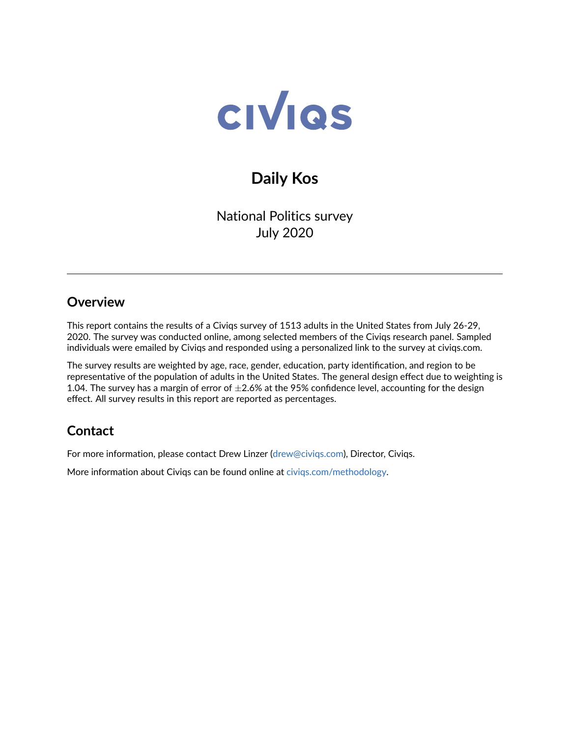

# **Daily Kos**

National Politics survey July 2020

## **Overview**

This report contains the results of a Civiqs survey of 1513 adults in the United States from July 26-29, 2020. The survey was conducted online, among selected members of the Civiqs research panel. Sampled individuals were emailed by Civiqs and responded using a personalized link to the survey at civiqs.com.

The survey results are weighted by age, race, gender, education, party identification, and region to be representative of the population of adults in the United States. The general design effect due to weighting is 1.04. The survey has a margin of error of  $\pm 2.6\%$  at the 95% confidence level, accounting for the design effect. All survey results in this report are reported as percentages.

## **Contact**

For more information, please contact Drew Linzer [\(drew@civiqs.com\)](mailto:drew@civiqs.com), Director, Civiqs.

More information about Civiqs can be found online at [civiqs.com/methodology.](https://civiqs.com/methodology)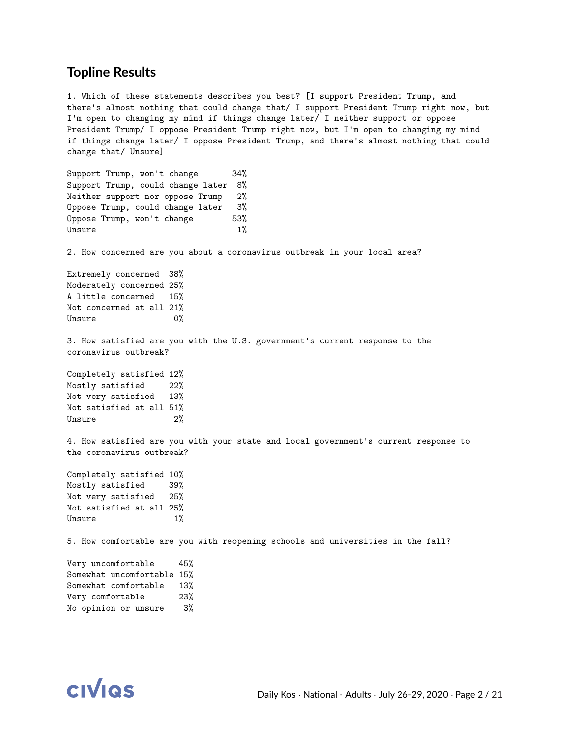#### **Topline Results**

1. Which of these statements describes you best? [I support President Trump, and there's almost nothing that could change that/ I support President Trump right now, but I'm open to changing my mind if things change later/ I neither support or oppose President Trump/ I oppose President Trump right now, but I'm open to changing my mind if things change later/ I oppose President Trump, and there's almost nothing that could change that/ Unsure]

Support Trump, won't change 34% Support Trump, could change later 8% Neither support nor oppose Trump 2% Oppose Trump, could change later 3% Oppose Trump, won't change 53% Unsure 1%

2. How concerned are you about a coronavirus outbreak in your local area?

Extremely concerned 38% Moderately concerned 25% A little concerned 15% Not concerned at all 21% Unsure 0%

3. How satisfied are you with the U.S. government's current response to the coronavirus outbreak?

Completely satisfied 12% Mostly satisfied 22% Not very satisfied 13% Not satisfied at all 51% Unsure 2%

4. How satisfied are you with your state and local government's current response to the coronavirus outbreak?

Completely satisfied 10% Mostly satisfied 39% Not very satisfied 25% Not satisfied at all 25% Unsure 1%

5. How comfortable are you with reopening schools and universities in the fall?

Very uncomfortable 45% Somewhat uncomfortable 15% Somewhat comfortable 13% Very comfortable 23% No opinion or unsure 3%

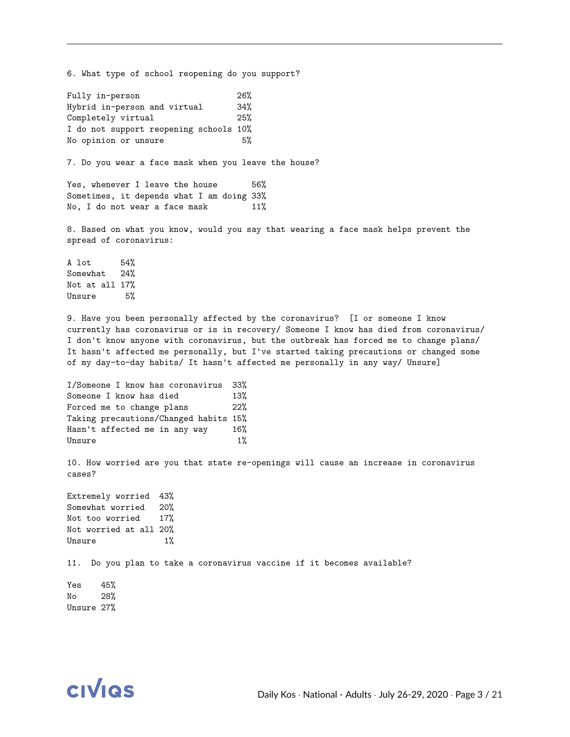6. What type of school reopening do you support? Fully in-person 26% Hybrid in-person and virtual 34% Completely virtual 25% I do not support reopening schools 10% No opinion or unsure 5% 7. Do you wear a face mask when you leave the house? Yes, whenever I leave the house 56% Sometimes, it depends what I am doing 33% No, I do not wear a face mask 11% 8. Based on what you know, would you say that wearing a face mask helps prevent the spread of coronavirus: A lot 54% Somewhat 24% Not at all 17% Unsure 5% 9. Have you been personally affected by the coronavirus? [I or someone I know currently has coronavirus or is in recovery/ Someone I know has died from coronavirus/ I don't know anyone with coronavirus, but the outbreak has forced me to change plans/ It hasn't affected me personally, but I've started taking precautions or changed some of my day-to-day habits/ It hasn't affected me personally in any way/ Unsure] I/Someone I know has coronavirus 33% Someone I know has died 13%

Forced me to change plans 22% Taking precautions/Changed habits 15% Hasn't affected me in any way 16% Unsure  $1\%$ 

10. How worried are you that state re-openings will cause an increase in coronavirus cases?

Extremely worried 43% Somewhat worried 20% Not too worried 17% Not worried at all 20% Unsure 1%

11. Do you plan to take a coronavirus vaccine if it becomes available?

Yes 45% No 28% Unsure 27%

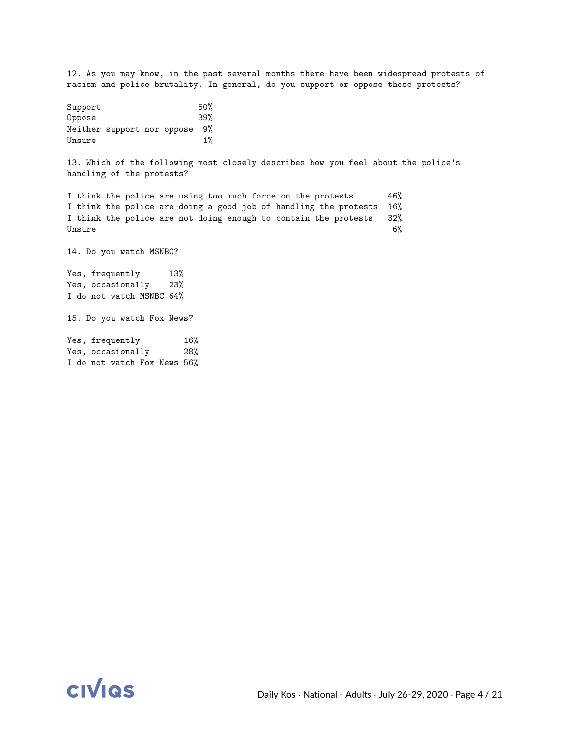12. As you may know, in the past several months there have been widespread protests of racism and police brutality. In general, do you support or oppose these protests?

| Support |                            |  | 50%   |
|---------|----------------------------|--|-------|
| Oppose  |                            |  | 39%   |
|         | Neither support nor oppose |  | 9%    |
| Unsure  |                            |  | $1\%$ |

13. Which of the following most closely describes how you feel about the police's handling of the protests?

I think the police are using too much force on the protests 46% I think the police are doing a good job of handling the protests 16% I think the police are not doing enough to contain the protests 32%  $\mu_\mathrm{BME} = 6\%$ 

14. Do you watch MSNBC?

Yes, frequently 13% Yes, occasionally 23% I do not watch MSNBC 64%

15. Do you watch Fox News?

Yes, frequently 16% Yes, occasionally 28% I do not watch Fox News 56%

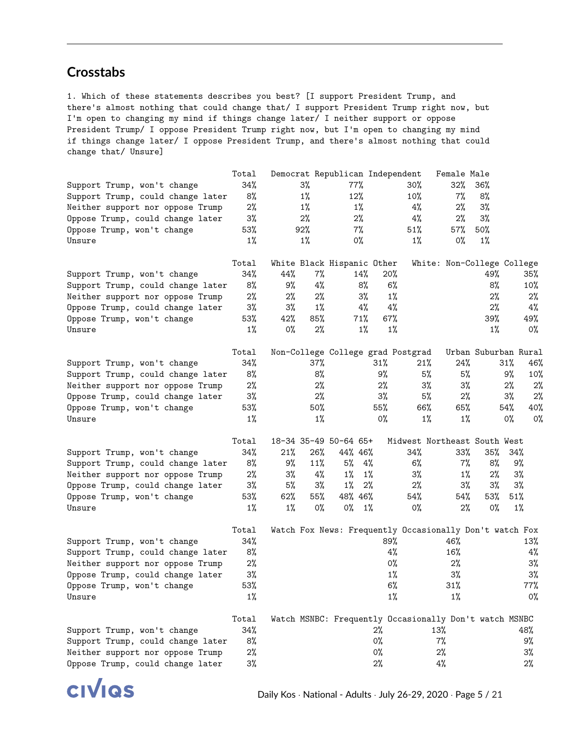### **Crosstabs**

1. Which of these statements describes you best? [I support President Trump, and there's almost nothing that could change that/ I support President Trump right now, but I'm open to changing my mind if things change later/ I neither support or oppose President Trump/ I oppose President Trump right now, but I'm open to changing my mind if things change later/ I oppose President Trump, and there's almost nothing that could change that/ Unsure]

|                                   | Total  |       |        | Democrat Republican Independent |        |                                                         | Female Male                |                      |        |        |
|-----------------------------------|--------|-------|--------|---------------------------------|--------|---------------------------------------------------------|----------------------------|----------------------|--------|--------|
| Support Trump, won't change       | 34%    |       | $3\%$  | 77%                             |        | $30\%$                                                  | 32%                        | $36\%$               |        |        |
| Support Trump, could change later | 8%     |       | $1\%$  | 12%                             |        | 10%                                                     | 7%                         | 8%                   |        |        |
| Neither support nor oppose Trump  | $2\%$  |       | $1\%$  | $1\%$                           |        | 4%                                                      | 2%                         | 3%                   |        |        |
| Oppose Trump, could change later  | 3%     |       | 2%     | 2%                              |        | 4%                                                      | 2%                         | 3%                   |        |        |
| Oppose Trump, won't change        | 53%    |       | 92%    | $7\%$                           |        | 51%                                                     | 57%                        | $50\%$               |        |        |
| Unsure                            | $1\%$  |       | $1\%$  | 0%                              |        | 1%                                                      | 0%                         | $1\%$                |        |        |
|                                   | Total  |       |        | White Black Hispanic Other      |        |                                                         | White: Non-College College |                      |        |        |
| Support Trump, won't change       | 34%    | 44%   | $7\%$  | 14%                             |        | 20%                                                     |                            | 49%                  |        | 35%    |
| Support Trump, could change later | 8%     | 9%    | 4%     |                                 | 8%     | 6%                                                      |                            | 8%                   |        | 10%    |
| Neither support nor oppose Trump  | $2\%$  | 2%    | 2%     |                                 | 3%     | $1\%$                                                   |                            | 2%                   |        | 2%     |
| Oppose Trump, could change later  | $3\%$  | 3%    | 1%     |                                 | 4%     | 4%                                                      |                            | 2%                   |        | 4%     |
| Oppose Trump, won't change        | 53%    | 42%   | 85%    | 71%                             |        | $67\%$                                                  |                            | 39%                  |        | 49%    |
| Unsure                            | $1\%$  | 0%    | 2%     |                                 | $1\%$  | $1\%$                                                   |                            | $1\%$                |        | 0%     |
|                                   | Total  |       |        |                                 |        | Non-College College grad Postgrad                       |                            | Urban Suburban Rural |        |        |
| Support Trump, won't change       | 34%    |       | $37\%$ |                                 | $31\%$ | 21%                                                     | 24%                        |                      | 31%    | 46%    |
| Support Trump, could change later | 8%     |       | 8%     |                                 | 9%     | 5%                                                      | 5%                         |                      | 9%     | 10%    |
| Neither support nor oppose Trump  | 2%     |       | 2%     |                                 | 2%     | 3%                                                      | 3%                         |                      | 2%     | 2%     |
| Oppose Trump, could change later  | 3%     |       | 2%     |                                 | 3%     | 5%                                                      | $2\%$                      |                      | 3%     | 2%     |
| Oppose Trump, won't change        | 53%    |       | $50\%$ |                                 | 55%    | 66%                                                     | 65%                        |                      | 54%    | 40%    |
| Unsure                            | $1\%$  |       | $1\%$  |                                 | 0%     | $1\%$                                                   | $1\%$                      |                      | 0%     | 0%     |
|                                   | Total  |       |        | 18-34 35-49 50-64 65+           |        | Midwest Northeast South West                            |                            |                      |        |        |
| Support Trump, won't change       | 34%    | 21%   | 26%    | 44% 46%                         |        | 34%                                                     | 33%                        | 35%                  | 34%    |        |
| Support Trump, could change later | 8%     | 9%    | 11%    | 5%                              | 4%     | $6\%$                                                   | $7\%$                      | 8%                   | 9%     |        |
| Neither support nor oppose Trump  | $2\%$  | 3%    | 4%     | $1\%$                           | $1\%$  | 3%                                                      | $1\%$                      | 2%                   | 3%     |        |
| Oppose Trump, could change later  | 3%     | 5%    | 3%     | $1\%$                           | $2\%$  | $2\%$                                                   | $3\%$                      | 3%                   | $3\%$  |        |
| Oppose Trump, won't change        | $53\%$ | 62%   | 55%    | 48% 46%                         |        | 54%                                                     | 54%                        | 53%                  | $51\%$ |        |
| Unsure                            | $1\%$  | $1\%$ | 0%     | 0%                              | $1\%$  | 0%                                                      | $2\%$                      | 0%                   | 1%     |        |
|                                   | Total  |       |        |                                 |        | Watch Fox News: Frequently Occasionally Don't watch Fox |                            |                      |        |        |
| Support Trump, won't change       | 34%    |       |        |                                 |        | 89%                                                     | 46%                        |                      |        | 13%    |
| Support Trump, could change later | 8%     |       |        |                                 |        | 4%                                                      | 16%                        |                      |        | 4%     |
| Neither support nor oppose Trump  | $2\%$  |       |        |                                 |        | 0%                                                      | $2\%$                      |                      |        | $3\%$  |
| Oppose Trump, could change later  | 3%     |       |        |                                 |        | $1\%$                                                   | 3%                         |                      |        | $3\%$  |
| Oppose Trump, won't change        | 53%    |       |        |                                 |        | 6%                                                      | 31%                        |                      |        | $77\%$ |
| Unsure                            | $1\%$  |       |        |                                 |        | $1\%$                                                   | $1\%$                      |                      |        | 0%     |
|                                   | Total  |       |        |                                 |        | Watch MSNBC: Frequently Occasionally Don't watch MSNBC  |                            |                      |        |        |
| Support Trump, won't change       | 34%    |       |        |                                 | 2%     |                                                         | 13%                        |                      |        | 48%    |
| Support Trump, could change later | 8%     |       |        |                                 | 0%     |                                                         | 7%                         |                      |        | 9%     |
| Neither support nor oppose Trump  | 2%     |       |        |                                 | 0%     |                                                         | $2\%$                      |                      |        | 3%     |
| Oppose Trump, could change later  | $3\%$  |       |        |                                 | $2\%$  |                                                         | $4\%$                      |                      |        | $2\%$  |

**CIVIQS**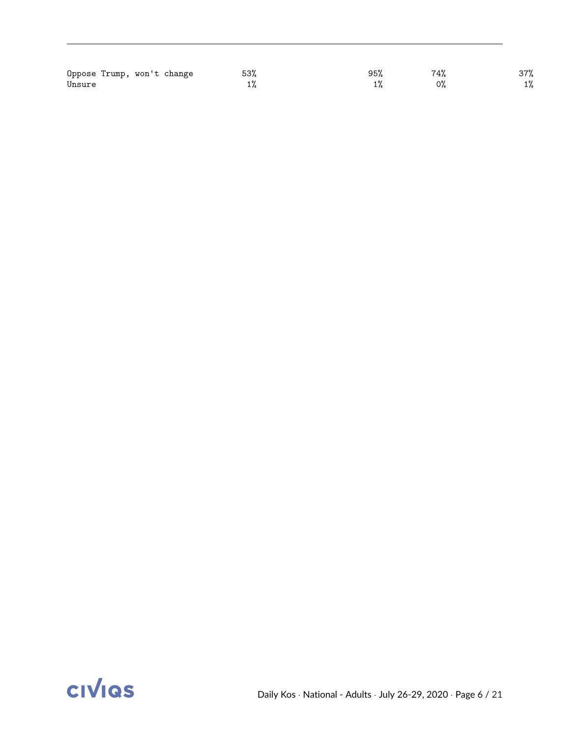| Oppose Trump, won't change | 53% | 95% | 74% | 37%   |
|----------------------------|-----|-----|-----|-------|
| Unsure                     |     |     | 0%  | $1\%$ |

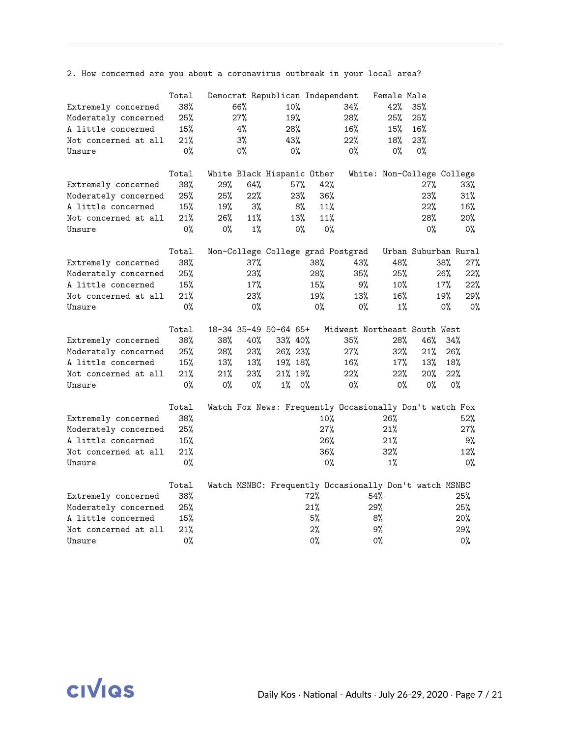2. How concerned are you about a coronavirus outbreak in your local area?

|                      | Total |       |       | Democrat Republican Independent |     |                                                         | Female Male                |                      |       |       |
|----------------------|-------|-------|-------|---------------------------------|-----|---------------------------------------------------------|----------------------------|----------------------|-------|-------|
| Extremely concerned  | 38%   |       | 66%   | 10%                             |     | 34%                                                     | 42%                        | 35%                  |       |       |
| Moderately concerned | 25%   |       | 27%   | 19%                             |     | 28%                                                     | 25%                        | 25%                  |       |       |
| A little concerned   | 15%   |       | 4%    | 28%                             |     | 16%                                                     | 15%                        | 16%                  |       |       |
| Not concerned at all | 21%   |       | 3%    | 43%                             |     | 22%                                                     | 18%                        | 23%                  |       |       |
| Unsure               | 0%    |       | 0%    | 0%                              |     | $0\%$                                                   | 0%                         | $0\%$                |       |       |
|                      |       |       |       |                                 |     |                                                         |                            |                      |       |       |
|                      | Total |       |       | White Black Hispanic Other      |     |                                                         | White: Non-College College |                      |       |       |
| Extremely concerned  | 38%   | 29%   | 64%   | 57%                             |     | 42%                                                     |                            | 27%                  |       | 33%   |
| Moderately concerned | 25%   | 25%   | 22%   | 23%                             |     | 36%                                                     |                            | 23%                  |       | 31%   |
| A little concerned   | 15%   | 19%   | 3%    |                                 | 8%  | 11%                                                     |                            | 22%                  |       | 16%   |
| Not concerned at all | 21%   | 26%   | 11%   | 13%                             |     | 11%                                                     |                            | 28%                  |       | 20%   |
| Unsure               | $0\%$ | 0%    | $1\%$ |                                 | 0%  | $0\%$                                                   |                            | $0\%$                |       | 0%    |
|                      | Total |       |       |                                 |     | Non-College College grad Postgrad                       |                            | Urban Suburban Rural |       |       |
| Extremely concerned  | 38%   |       | 37%   |                                 | 38% | 43%                                                     | 48%                        |                      | 38%   | 27%   |
| Moderately concerned | 25%   |       | 23%   |                                 | 28% | 35%                                                     | 25%                        |                      | 26%   | 22%   |
| A little concerned   | 15%   |       | 17%   |                                 | 15% | 9%                                                      | $10\%$                     |                      | 17%   | 22%   |
| Not concerned at all | 21%   |       | 23%   |                                 | 19% | 13%                                                     | 16%                        |                      | 19%   | 29%   |
| Unsure               | 0%    |       | 0%    |                                 | 0%  | 0%                                                      | $1\%$                      |                      | $0\%$ | 0%    |
|                      | Total |       |       | 18-34 35-49 50-64 65+           |     | Midwest Northeast South West                            |                            |                      |       |       |
| Extremely concerned  | 38%   | 38%   | 40%   | 33% 40%                         |     | 35%                                                     | 28%                        | 46%                  | 34%   |       |
| Moderately concerned | 25%   | 28%   | 23%   | 26% 23%                         |     | 27%                                                     | 32%                        | 21%                  | 26%   |       |
| A little concerned   | 15%   | 13%   | 13%   | 19% 18%                         |     | 16%                                                     | $17\%$                     | 13%                  | 18%   |       |
| Not concerned at all | 21%   | 21%   | 23%   | 21% 19%                         |     | 22%                                                     | 22%                        | 20%                  | 22%   |       |
| Unsure               | 0%    | $0\%$ | $0\%$ | $1\%$                           | 0%  | $0\%$                                                   | 0%                         | $0\%$                | $0\%$ |       |
|                      | Total |       |       |                                 |     | Watch Fox News: Frequently Occasionally Don't watch Fox |                            |                      |       |       |
| Extremely concerned  | 38%   |       |       |                                 |     | $10\%$                                                  | 26%                        |                      |       | 52%   |
| Moderately concerned | 25%   |       |       |                                 |     | 27%                                                     | 21%                        |                      |       | 27%   |
| A little concerned   | 15%   |       |       |                                 |     | 26%                                                     | 21%                        |                      |       | 9%    |
| Not concerned at all | 21%   |       |       |                                 |     | 36%                                                     | 32%                        |                      |       | 12%   |
| Unsure               | $0\%$ |       |       |                                 |     | $0\%$                                                   | $1\%$                      |                      |       | $0\%$ |
|                      | Total |       |       |                                 |     | Watch MSNBC: Frequently Occasionally Don't watch MSNBC  |                            |                      |       |       |
| Extremely concerned  | 38%   |       |       |                                 | 72% |                                                         | 54%                        |                      | 25%   |       |
| Moderately concerned | 25%   |       |       |                                 | 21% |                                                         | 29%                        |                      | 25%   |       |
| A little concerned   | 15%   |       |       |                                 | 5%  |                                                         | 8%                         |                      | 20%   |       |
| Not concerned at all | 21%   |       |       |                                 | 2%  |                                                         | 9%                         |                      | 29%   |       |
| Unsure               | 0%    |       |       |                                 | 0%  |                                                         | 0%                         |                      | 0%    |       |

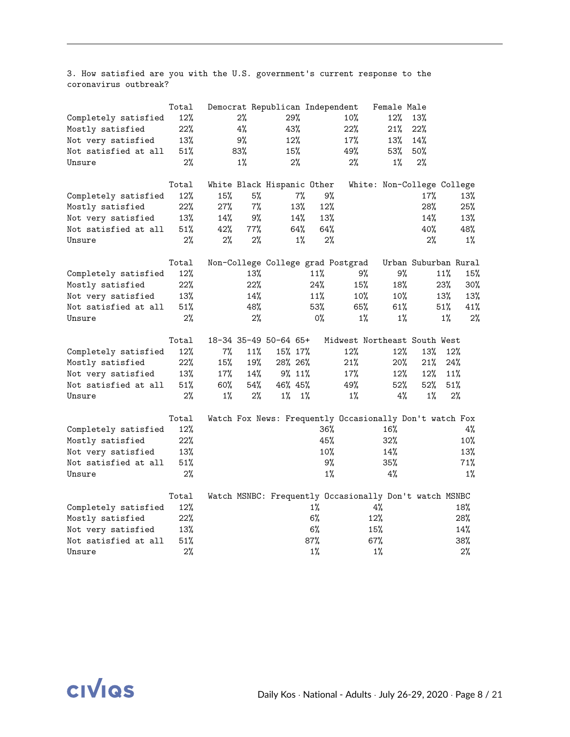3. How satisfied are you with the U.S. government's current response to the coronavirus outbreak?

|                      | Total  |       |       | Democrat Republican Independent                         |        |       |                              | Female Male |                            |       |        |
|----------------------|--------|-------|-------|---------------------------------------------------------|--------|-------|------------------------------|-------------|----------------------------|-------|--------|
| Completely satisfied | 12%    |       | 2%    | 29%                                                     |        |       | 10%                          | 12%         | 13%                        |       |        |
| Mostly satisfied     | 22%    |       | 4%    | 43%                                                     |        |       | 22%                          | 21%         | 22%                        |       |        |
| Not very satisfied   | 13%    |       | 9%    | 12%                                                     |        |       | 17%                          | 13%         | 14%                        |       |        |
| Not satisfied at all | $51\%$ |       | 83%   | 15%                                                     |        |       | 49%                          | 53%         | 50%                        |       |        |
| Unsure               | 2%     |       | $1\%$ |                                                         | 2%     |       | 2%                           | $1\%$       | 2%                         |       |        |
|                      | Total  |       |       | White Black Hispanic Other                              |        |       |                              |             | White: Non-College College |       |        |
| Completely satisfied | $12\%$ | 15%   | 5%    |                                                         | 7%     | 9%    |                              |             | 17%                        |       | 13%    |
| Mostly satisfied     | 22%    | 27%   | 7%    |                                                         | 13%    | 12%   |                              |             | 28%                        |       | 25%    |
| Not very satisfied   | 13%    | 14%   | 9%    |                                                         | 14%    | 13%   |                              |             | 14%                        |       | 13%    |
| Not satisfied at all | 51%    | 42%   | 77%   |                                                         | 64%    | 64%   |                              |             | 40%                        |       | 48%    |
| Unsure               | 2%     | 2%    | 2%    |                                                         | $1\%$  | 2%    |                              |             | 2%                         |       | $1\%$  |
|                      | Total  |       |       | Non-College College grad Postgrad                       |        |       |                              |             | Urban Suburban Rural       |       |        |
| Completely satisfied | 12%    |       | 13%   |                                                         |        | 11%   | 9%                           | 9%          |                            | 11%   | 15%    |
| Mostly satisfied     | 22%    |       | 22%   |                                                         |        | 24%   | 15%                          | 18%         |                            | 23%   | $30\%$ |
| Not very satisfied   | 13%    |       | 14%   |                                                         |        | 11%   | 10%                          | 10%         |                            | 13%   | 13%    |
| Not satisfied at all | $51\%$ |       | 48%   |                                                         |        | 53%   | 65%                          | 61%         |                            | 51%   | 41%    |
| Unsure               | 2%     |       | 2%    |                                                         |        | 0%    | $1\%$                        | $1\%$       |                            | $1\%$ | 2%     |
|                      | Total  |       |       | 18-34 35-49 50-64 65+                                   |        |       | Midwest Northeast South West |             |                            |       |        |
| Completely satisfied | 12%    | 7%    | 11%   | 15% 17%                                                 |        |       | 12%                          | 12%         | 13%                        | 12%   |        |
| Mostly satisfied     | 22%    | 15%   | 19%   | 28% 26%                                                 |        |       | 21%                          | 20%         | 21%                        | 24%   |        |
| Not very satisfied   | 13%    | 17%   | 14%   |                                                         | 9% 11% |       | 17%                          | $12\%$      | 12%                        | 11%   |        |
| Not satisfied at all | 51%    | 60%   | 54%   | 46% 45%                                                 |        |       | 49%                          | 52%         | 52%                        | 51%   |        |
| Unsure               | $2\%$  | $1\%$ | 2%    | $1\%$                                                   | $1\%$  |       | $1\%$                        | 4%          | $1\%$                      | 2%    |        |
|                      | Total  |       |       | Watch Fox News: Frequently Occasionally Don't watch Fox |        |       |                              |             |                            |       |        |
| Completely satisfied | 12%    |       |       |                                                         |        | 36%   |                              | 16%         |                            |       | 4%     |
| Mostly satisfied     | 22%    |       |       |                                                         |        | 45%   |                              | 32%         |                            |       | 10%    |
| Not very satisfied   | 13%    |       |       |                                                         |        | 10%   |                              | 14%         |                            |       | 13%    |
| Not satisfied at all | 51%    |       |       |                                                         |        | 9%    |                              | 35%         |                            |       | 71%    |
| Unsure               | 2%     |       |       |                                                         |        | $1\%$ |                              | 4%          |                            |       | $1\%$  |
|                      | Total  |       |       | Watch MSNBC: Frequently Occasionally Don't watch MSNBC  |        |       |                              |             |                            |       |        |
| Completely satisfied | 12%    |       |       |                                                         |        | 1%    |                              | $4\%$       |                            |       | 18%    |
| Mostly satisfied     | 22%    |       |       |                                                         |        | 6%    |                              | 12%         |                            |       | 28%    |
| Not very satisfied   | 13%    |       |       |                                                         |        | 6%    |                              | 15%         |                            |       | 14%    |
| Not satisfied at all | 51%    |       |       |                                                         | 87%    |       |                              | 67%         |                            |       | 38%    |
| Unsure               | 2%     |       |       |                                                         |        | $1\%$ |                              | $1\%$       |                            |       | 2%     |

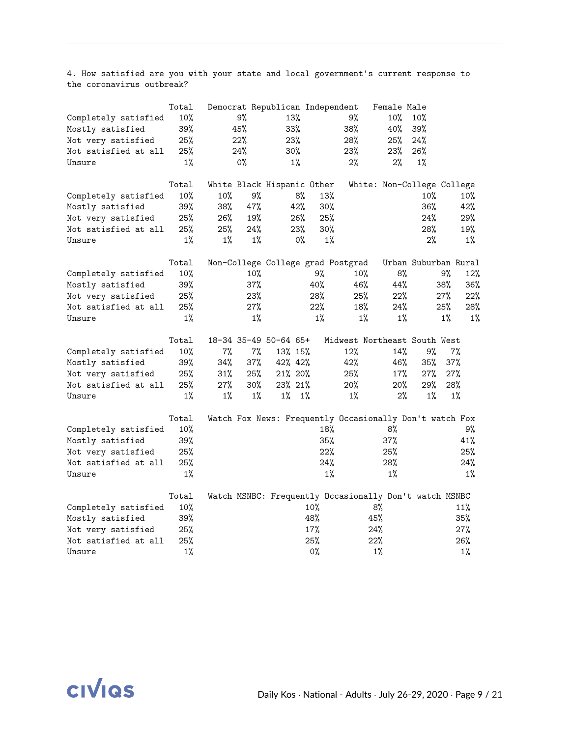4. How satisfied are you with your state and local government's current response to the coronavirus outbreak?

|                      | Total |       |       | Democrat Republican Independent |       |                                   | Female Male                                             |        |                      |
|----------------------|-------|-------|-------|---------------------------------|-------|-----------------------------------|---------------------------------------------------------|--------|----------------------|
| Completely satisfied | 10%   |       | 9%    | 13%                             |       | 9%                                | 10%                                                     | 10%    |                      |
| Mostly satisfied     | 39%   |       | 45%   | 33%                             |       | 38%                               | 40%                                                     | 39%    |                      |
| Not very satisfied   | 25%   |       | 22%   | 23%                             |       | 28%                               | 25%                                                     | 24%    |                      |
| Not satisfied at all | 25%   |       | 24%   | 30%                             |       | 23%                               | 23%                                                     | 26%    |                      |
| Unsure               | $1\%$ |       | 0%    | $1\%$                           |       | 2%                                | 2%                                                      | $1\%$  |                      |
|                      | Total |       |       | White Black Hispanic Other      |       |                                   | White: Non-College College                              |        |                      |
| Completely satisfied | 10%   | 10%   | 9%    |                                 | 8%    | 13%                               |                                                         | 10%    | 10%                  |
| Mostly satisfied     | 39%   | 38%   | 47%   | 42%                             |       | 30%                               |                                                         | 36%    | 42%                  |
| Not very satisfied   | 25%   | 26%   | 19%   | 26%                             |       | 25%                               |                                                         | 24%    | 29%                  |
| Not satisfied at all | 25%   | 25%   | 24%   | 23%                             |       | 30%                               |                                                         | 28%    | 19%                  |
| Unsure               | $1\%$ | $1\%$ | $1\%$ |                                 | 0%    | $1\%$                             |                                                         | 2%     | $1\%$                |
|                      | Total |       |       |                                 |       | Non-College College grad Postgrad |                                                         |        | Urban Suburban Rural |
| Completely satisfied | 10%   |       | 10%   |                                 | 9%    | 10%                               | 8%                                                      |        | 9%<br>12%            |
| Mostly satisfied     | 39%   |       | 37%   |                                 | 40%   | 46%                               | 44%                                                     |        | 38%<br>36%           |
| Not very satisfied   | 25%   |       | 23%   |                                 | 28%   | 25%                               | 22%                                                     |        | 27%<br>22%           |
| Not satisfied at all | 25%   |       | 27%   |                                 | 22%   | 18%                               | 24%                                                     |        | 25%<br>28%           |
| Unsure               | $1\%$ |       | $1\%$ |                                 | $1\%$ | $1\%$                             | $1\%$                                                   |        | $1\%$<br>$1\%$       |
|                      | Total |       |       | 18-34 35-49 50-64 65+           |       |                                   | Midwest Northeast South West                            |        |                      |
| Completely satisfied | 10%   | 7%    | 7%    | 13% 15%                         |       | 12%                               | 14%                                                     | 9%     | 7%                   |
| Mostly satisfied     | 39%   | 34%   | 37%   | 42% 42%                         |       | 42%                               | 46%                                                     | 35%    | 37%                  |
| Not very satisfied   | 25%   | 31%   | 25%   | 21% 20%                         |       | 25%                               | $17\%$                                                  | $27\%$ | 27%                  |
| Not satisfied at all | 25%   | 27%   | 30%   | 23% 21%                         |       | 20%                               | 20%                                                     | 29%    | 28%                  |
| Unsure               | $1\%$ | 1%    | $1\%$ | $1\%$                           | $1\%$ | $1\%$                             | $2\%$                                                   | $1\%$  | $1\%$                |
|                      | Total |       |       |                                 |       |                                   | Watch Fox News: Frequently Occasionally Don't watch Fox |        |                      |
| Completely satisfied | 10%   |       |       |                                 |       | 18%                               | 8%                                                      |        | 9%                   |
| Mostly satisfied     | 39%   |       |       |                                 |       | 35%                               | 37%                                                     |        | 41%                  |
| Not very satisfied   | 25%   |       |       |                                 |       | 22%                               | 25%                                                     |        | 25%                  |
| Not satisfied at all | 25%   |       |       |                                 |       | 24%                               | 28%                                                     |        | 24%                  |
| Unsure               | $1\%$ |       |       |                                 |       | $1\%$                             | $1\%$                                                   |        | $1\%$                |
|                      | Total |       |       |                                 |       |                                   | Watch MSNBC: Frequently Occasionally Don't watch MSNBC  |        |                      |
| Completely satisfied | 10%   |       |       |                                 | 10%   |                                   | 8%                                                      |        | 11%                  |
| Mostly satisfied     | 39%   |       |       |                                 | 48%   |                                   | 45%                                                     |        | 35%                  |
| Not very satisfied   | 25%   |       |       |                                 | 17%   |                                   | 24%                                                     |        | 27%                  |
| Not satisfied at all | 25%   |       |       |                                 | 25%   |                                   | 22%                                                     |        | 26%                  |
| Unsure               | $1\%$ |       |       |                                 | $0\%$ |                                   | $1\%$                                                   |        | $1\%$                |

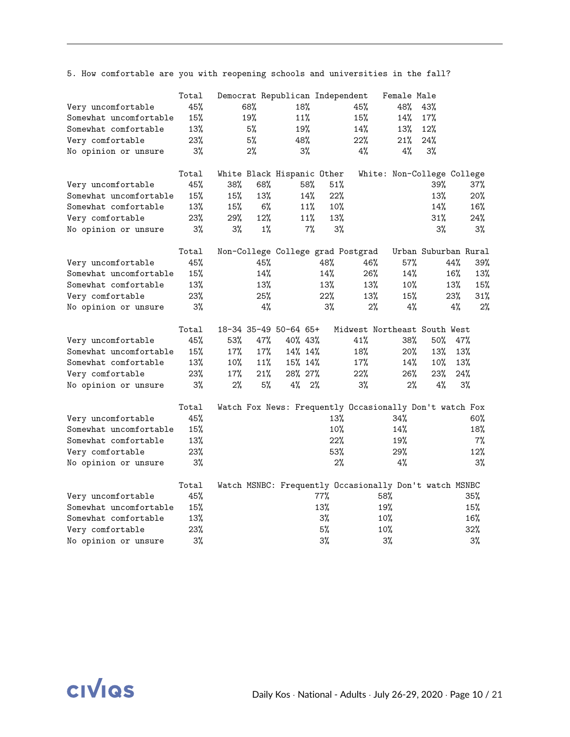5. How comfortable are you with reopening schools and universities in the fall?

| Very uncomfortable<br>Somewhat uncomfortable<br>Somewhat comfortable<br>Very comfortable<br>No opinion or unsure | Total<br>45%<br>15%<br>13%<br>23%<br>3% | 68%<br>19%<br>5%<br>5%<br>2% |       | Democrat Republican Independent<br>18%<br>11%<br>19%<br>48%<br>$3\%$ |       | 45%<br>15%<br>14%<br>22%<br>4% | Female Male<br>48%<br>14%<br>13%<br>21%<br>4% | 43%<br>17%<br>12%<br>24%<br>3% |     |       |
|------------------------------------------------------------------------------------------------------------------|-----------------------------------------|------------------------------|-------|----------------------------------------------------------------------|-------|--------------------------------|-----------------------------------------------|--------------------------------|-----|-------|
|                                                                                                                  | Total                                   |                              |       | White Black Hispanic Other                                           |       |                                | White: Non-College College                    |                                |     |       |
| Very uncomfortable                                                                                               | 45%                                     | 38%                          | 68%   | 58%                                                                  | 51%   |                                |                                               | 39%                            |     | 37%   |
| Somewhat uncomfortable                                                                                           | 15%                                     | 15%                          | 13%   | 14%                                                                  | 22%   |                                |                                               | 13%                            |     | 20%   |
| Somewhat comfortable                                                                                             | 13%                                     | 15%                          | 6%    | 11%                                                                  | 10%   |                                |                                               | 14%                            |     | 16%   |
| Very comfortable                                                                                                 | 23%                                     | 29%                          | 12%   | 11%                                                                  | 13%   |                                |                                               | 31%                            |     | 24%   |
| No opinion or unsure                                                                                             | 3%                                      | 3%                           | $1\%$ | $7\%$                                                                | 3%    |                                |                                               | 3%                             |     | 3%    |
|                                                                                                                  | Total                                   |                              |       | Non-College College grad Postgrad                                    |       |                                |                                               | Urban Suburban Rural           |     |       |
| Very uncomfortable                                                                                               | 45%                                     |                              | 45%   |                                                                      | 48%   | 46%                            | 57%                                           |                                | 44% | 39%   |
| Somewhat uncomfortable                                                                                           | 15%                                     |                              | 14%   |                                                                      | 14%   | 26%                            | 14%                                           |                                | 16% | 13%   |
| Somewhat comfortable                                                                                             | 13%                                     |                              | 13%   |                                                                      | 13%   | 13%                            | $10\%$                                        |                                | 13% | 15%   |
| Very comfortable                                                                                                 | 23%                                     |                              | 25%   |                                                                      | 22%   | 13%                            | 15%                                           |                                | 23% | 31%   |
| No opinion or unsure                                                                                             | 3%                                      |                              | 4%    |                                                                      | $3\%$ | 2%                             | 4%                                            |                                | 4%  | 2%    |
|                                                                                                                  | Total                                   |                              |       | 18-34 35-49 50-64 65+                                                |       | Midwest Northeast South West   |                                               |                                |     |       |
| Very uncomfortable                                                                                               | 45%                                     | 53%                          | 47%   | 40% 43%                                                              |       | 41%                            | 38%                                           | 50%                            | 47% |       |
| Somewhat uncomfortable                                                                                           | 15%                                     | 17%                          | 17%   | 14% 14%                                                              |       | 18%                            | 20%                                           | 13%                            | 13% |       |
| Somewhat comfortable                                                                                             | 13%                                     | 10%                          | 11%   | 15% 14%                                                              |       | 17%                            | 14%                                           | 10%                            | 13% |       |
| Very comfortable                                                                                                 | 23%                                     | 17%                          | 21%   | 28% 27%                                                              |       | 22%                            | 26%                                           | 23%                            | 24% |       |
| No opinion or unsure                                                                                             | 3%                                      | $2\%$                        | 5%    | $4\%$ 2%                                                             |       | 3%                             | 2%                                            | 4%                             |     | 3%    |
| Very uncomfortable                                                                                               | Total<br>45%                            |                              |       | Watch Fox News: Frequently Occasionally Don't watch Fox              | 13%   |                                | 34%                                           |                                |     | 60%   |
| Somewhat uncomfortable                                                                                           | 15%                                     |                              |       |                                                                      | 10%   |                                | 14%                                           |                                |     | 18%   |
| Somewhat comfortable                                                                                             | 13%                                     |                              |       |                                                                      | 22%   |                                | 19%                                           |                                |     | 7%    |
| Very comfortable                                                                                                 | 23%                                     |                              |       |                                                                      | 53%   |                                | 29%                                           |                                |     | 12%   |
| No opinion or unsure                                                                                             | 3%                                      |                              |       |                                                                      | 2%    |                                | 4%                                            |                                |     | 3%    |
|                                                                                                                  | Total                                   |                              |       | Watch MSNBC: Frequently Occasionally Don't watch MSNBC               |       |                                |                                               |                                |     |       |
| Very uncomfortable                                                                                               | 45%                                     |                              |       |                                                                      | 77%   |                                | 58%                                           |                                |     | 35%   |
| Somewhat uncomfortable                                                                                           | 15%                                     |                              |       |                                                                      | 13%   |                                | 19%                                           |                                |     | 15%   |
| Somewhat comfortable                                                                                             | 13%                                     |                              |       |                                                                      | 3%    |                                | 10%                                           |                                |     | 16%   |
| Very comfortable                                                                                                 | 23%                                     |                              |       |                                                                      | 5%    |                                | 10%                                           |                                |     | 32%   |
| No opinion or unsure                                                                                             | $3\%$                                   |                              |       |                                                                      | $3\%$ |                                | 3%                                            |                                |     | $3\%$ |

**CIVIQS**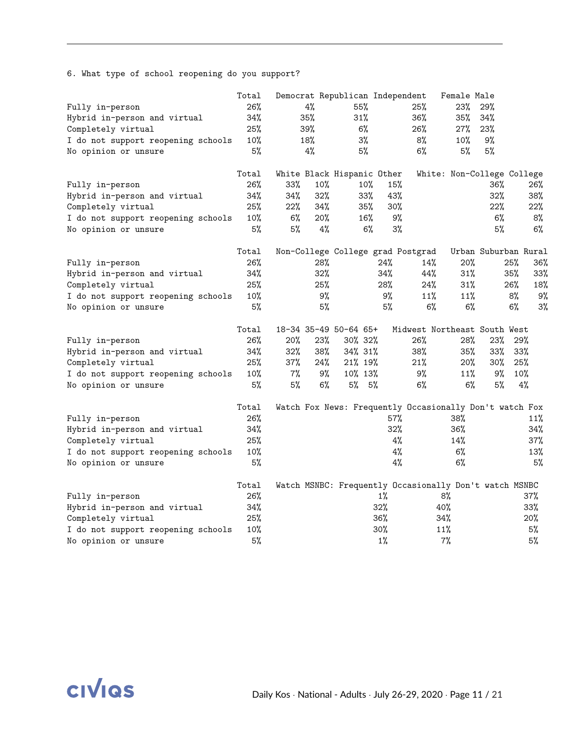6. What type of school reopening do you support?

|                                    | Total |     |     | Democrat Republican Independent |       |                                                         | Female Male |     |                            |
|------------------------------------|-------|-----|-----|---------------------------------|-------|---------------------------------------------------------|-------------|-----|----------------------------|
| Fully in-person                    | 26%   |     | 4%  | 55%                             |       | 25%                                                     | 23%         | 29% |                            |
| Hybrid in-person and virtual       | 34%   |     | 35% | 31%                             |       | 36%                                                     | 35%         | 34% |                            |
| Completely virtual                 | 25%   |     | 39% | 6%                              |       | 26%                                                     | 27%         | 23% |                            |
| I do not support reopening schools | 10%   |     | 18% | $3\%$                           |       | 8%                                                      | $10\%$      | 9%  |                            |
| No opinion or unsure               | 5%    |     | 4%  | 5%                              |       | 6%                                                      | 5%          | 5%  |                            |
|                                    |       |     |     |                                 |       |                                                         |             |     |                            |
|                                    | Total |     |     | White Black Hispanic Other      |       |                                                         |             |     | White: Non-College College |
| Fully in-person                    | 26%   | 33% | 10% | 10%                             | 15%   |                                                         |             | 36% | 26%                        |
| Hybrid in-person and virtual       | 34%   | 34% | 32% | 33%                             | 43%   |                                                         |             | 32% | 38%                        |
| Completely virtual                 | 25%   | 22% | 34% | 35%                             | 30%   |                                                         |             | 22% | 22%                        |
| I do not support reopening schools | 10%   | 6%  | 20% | 16%                             |       | 9%                                                      |             | 6%  | 8%                         |
| No opinion or unsure               | 5%    | 5%  | 4%  |                                 | 6%    | 3%                                                      |             | 5%  | 6%                         |
|                                    | Total |     |     |                                 |       | Non-College College grad Postgrad                       |             |     | Urban Suburban Rural       |
| Fully in-person                    | 26%   |     | 28% |                                 | 24%   | 14%                                                     | 20%         |     | 25%<br>36%                 |
| Hybrid in-person and virtual       | 34%   |     | 32% |                                 | 34%   | 44%                                                     | 31%         |     | 35%<br>33%                 |
| Completely virtual                 | 25%   |     | 25% |                                 | 28%   | 24%                                                     | 31%         |     | 26%<br>18%                 |
| I do not support reopening schools | 10%   |     | 9%  |                                 | 9%    | 11%                                                     | 11%         |     | 8%<br>9%                   |
| No opinion or unsure               | 5%    |     | 5%  |                                 | 5%    | $6\%$                                                   | $6\%$       |     | 6%<br>3%                   |
|                                    | Total |     |     | 18-34 35-49 50-64 65+           |       | Midwest Northeast South West                            |             |     |                            |
| Fully in-person                    | 26%   | 20% | 23% | 30% 32%                         |       | 26%                                                     | 28%         | 23% | 29%                        |
| Hybrid in-person and virtual       | 34%   | 32% | 38% | 34% 31%                         |       | 38%                                                     | 35%         | 33% | 33%                        |
| Completely virtual                 | 25%   | 37% | 24% | 21% 19%                         |       | 21%                                                     | $20\%$      | 30% | 25%                        |
| I do not support reopening schools | 10%   | 7%  | 9%  | 10% 13%                         |       | 9%                                                      | 11%         | 9%  | 10%                        |
| No opinion or unsure               | 5%    | 5%  | 6%  | $5\%$ 5%                        |       | 6%                                                      | 6%          | 5%  | 4%                         |
|                                    | Total |     |     |                                 |       | Watch Fox News: Frequently Occasionally Don't watch Fox |             |     |                            |
| Fully in-person                    | 26%   |     |     |                                 | 57%   |                                                         | 38%         |     | 11%                        |
| Hybrid in-person and virtual       | 34%   |     |     |                                 | 32%   |                                                         | 36%         |     | 34%                        |
| Completely virtual                 | 25%   |     |     |                                 |       | 4%                                                      | 14%         |     | 37%                        |
| I do not support reopening schools | 10%   |     |     |                                 |       | $4\%$                                                   | 6%          |     | 13%                        |
| No opinion or unsure               | 5%    |     |     |                                 |       | 4%                                                      | 6%          |     | 5%                         |
|                                    | Total |     |     |                                 |       | Watch MSNBC: Frequently Occasionally Don't watch MSNBC  |             |     |                            |
| Fully in-person                    | 26%   |     |     |                                 | $1\%$ |                                                         | 8%          |     | 37%                        |
| Hybrid in-person and virtual       | 34%   |     |     |                                 | 32%   |                                                         | 40%         |     | 33%                        |
| Completely virtual                 | 25%   |     |     |                                 | 36%   |                                                         | 34%         |     | 20%                        |
| I do not support reopening schools | 10%   |     |     |                                 | 30%   |                                                         | 11%         |     | 5%                         |
| No opinion or unsure               | 5%    |     |     |                                 | $1\%$ |                                                         | $7\%$       |     | 5%                         |

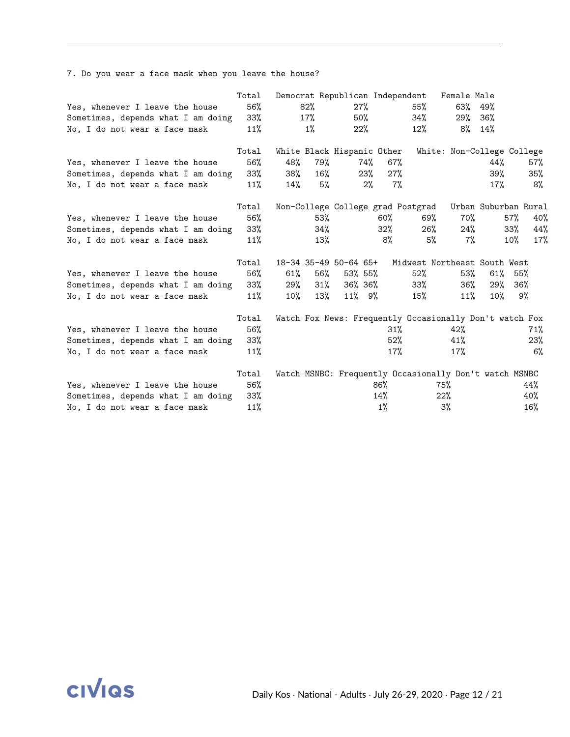|                                    | Total |     |        | Democrat Republican Independent |                |                                                         | Female Male |           |                            |
|------------------------------------|-------|-----|--------|---------------------------------|----------------|---------------------------------------------------------|-------------|-----------|----------------------------|
| Yes, whenever I leave the house    | 56%   |     | $82\%$ | 27%                             |                | 55%                                                     | 63%         | 49%       |                            |
| Sometimes, depends what I am doing | 33%   |     | 17%    | 50%                             |                | 34%                                                     | 29%         | 36%       |                            |
| No, I do not wear a face mask      | 11%   |     | 1%     | $22\%$                          |                | $12\%$                                                  |             | $8\%$ 14% |                            |
|                                    | Total |     |        | White Black Hispanic Other      |                |                                                         |             |           | White: Non-College College |
| Yes, whenever I leave the house    | 56%   | 48% | 79%    | 74%                             | 67%            |                                                         |             | 44%       | 57%                        |
| Sometimes, depends what I am doing | 33%   | 38% | $16\%$ | 23%                             | 27%            |                                                         |             | 39%       | 35%                        |
| No, I do not wear a face mask      | 11%   | 14% | $5\%$  |                                 | $7\%$<br>$2\%$ |                                                         |             | 17%       | 8%                         |
|                                    | Total |     |        |                                 |                | Non-College College grad Postgrad                       |             |           | Urban Suburban Rural       |
| Yes, whenever I leave the house    | 56%   |     | 53%    |                                 | 60%            | 69%                                                     | 70%         |           | 57%<br>40%                 |
| Sometimes, depends what I am doing | 33%   |     | 34%    |                                 | $32\%$         | 26%                                                     | 24%         |           | 44%<br>33%                 |
| No, I do not wear a face mask      | 11%   |     | 13%    |                                 | 8%             | 5%                                                      | 7%          |           | $10\%$<br>17%              |
|                                    | Total |     |        | 18-34 35-49 50-64 65+           |                | Midwest Northeast South West                            |             |           |                            |
| Yes, whenever I leave the house    | 56%   | 61% | 56%    | 53% 55%                         |                | $52\%$                                                  | 53%         | 61%       | 55%                        |
| Sometimes, depends what I am doing | 33%   | 29% | $31\%$ | 36% 36%                         |                | 33%                                                     | 36%         | 29%       | 36%                        |
| No, I do not wear a face mask      | 11%   | 10% | 13%    | 11% 9%                          |                | 15%                                                     | $11\%$      | $10\%$    | 9%                         |
|                                    | Total |     |        |                                 |                | Watch Fox News: Frequently Occasionally Don't watch Fox |             |           |                            |
| Yes, whenever I leave the house    | 56%   |     |        |                                 | 31%            |                                                         | 42%         |           | 71%                        |
| Sometimes, depends what I am doing | 33%   |     |        |                                 | 52%            |                                                         | 41%         |           | 23%                        |
| No, I do not wear a face mask      | 11%   |     |        |                                 | 17%            |                                                         | 17%         |           | 6%                         |
|                                    | Total |     |        |                                 |                | Watch MSNBC: Frequently Occasionally Don't watch MSNBC  |             |           |                            |
| Yes, whenever I leave the house    | 56%   |     |        |                                 | 86%            |                                                         | 75%         |           | 44%                        |
| Sometimes, depends what I am doing | 33%   |     |        |                                 | 14%            |                                                         | 22%         |           | 40%                        |
| No, I do not wear a face mask      | 11%   |     |        |                                 | $1\%$          |                                                         | 3%          |           | 16%                        |

7. Do you wear a face mask when you leave the house?

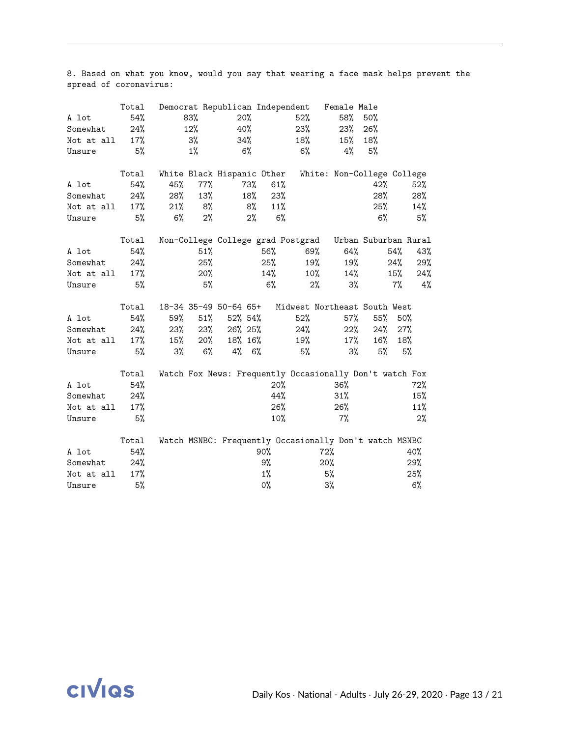8. Based on what you know, would you say that wearing a face mask helps prevent the spread of coronavirus:

|            | Total  | Democrat Republican Independent   |        |             |       |     |                                                         | Female Male |                            |     |     |
|------------|--------|-----------------------------------|--------|-------------|-------|-----|---------------------------------------------------------|-------------|----------------------------|-----|-----|
| A lot      | 54%    | 83%                               |        | 20%         |       |     | 52%                                                     | 58%         | 50%                        |     |     |
| Somewhat   | 24%    | 12%                               |        | 40%         |       |     | 23%                                                     | 23%         | 26%                        |     |     |
| Not at all | 17%    | 3%                                |        | 34%         |       |     | 18%                                                     | 15%         | 18%                        |     |     |
| Unsure     | 5%     | 1%                                |        | $6\%$       |       |     | 6%                                                      | 4%          | 5%                         |     |     |
|            | Total  | White Black Hispanic Other        |        |             |       |     |                                                         |             | White: Non-College College |     |     |
| A lot      | 54%    | 45%                               | 77%    | 73%         |       | 61% |                                                         |             | 42%                        |     | 52% |
| Somewhat   | 24%    | 28%                               | 13%    | 18%         |       | 23% |                                                         |             | 28%                        |     | 28% |
| Not at all | 17%    | 21%                               | 8%     |             | 8%    | 11% |                                                         |             | 25%                        |     | 14% |
| Unsure     | 5%     | $6\%$                             | 2%     |             | 2%    | 6%  |                                                         |             | 6%                         |     | 5%  |
|            | Total  | Non-College College grad Postgrad |        |             |       |     |                                                         |             | Urban Suburban Rural       |     |     |
| A lot      | 54%    |                                   | 51%    |             | 56%   |     | 69%                                                     | 64%         |                            | 54% | 43% |
| Somewhat   | 24%    |                                   | 25%    |             | 25%   |     | 19%                                                     | 19%         |                            | 24% | 29% |
| Not at all | 17%    |                                   | 20%    |             | 14%   |     | 10%                                                     | 14%         |                            | 15% | 24% |
| Unsure     | 5%     |                                   | 5%     |             | 6%    |     | 2%                                                      | 3%          |                            | 7%  | 4%  |
|            | Total  | 18-34 35-49 50-64 65+             |        |             |       |     | Midwest Northeast South West                            |             |                            |     |     |
| A lot      | 54%    | 59%                               | 51%    | $52\% 54\%$ |       |     | 52%                                                     | $57\%$      | $55\%$                     | 50% |     |
| Somewhat   | $24\%$ | 23%                               | 23%    | 26% 25%     |       |     | 24%                                                     | 22%         | 24%                        | 27% |     |
| Not at all | 17%    | 15%                               | $20\%$ | 18% 16%     |       |     | 19%                                                     | $17\%$      | $16\%$                     | 18% |     |
| Unsure     | 5%     | 3%                                | 6%     | $4\%$ 6%    |       |     | 5%                                                      | 3%          | 5%                         |     | 5%  |
|            | Total  |                                   |        |             |       |     | Watch Fox News: Frequently Occasionally Don't watch Fox |             |                            |     |     |
| A lot      | 54%    |                                   |        |             |       | 20% |                                                         | 36%         |                            |     | 72% |
| Somewhat   | 24%    |                                   |        |             |       | 44% |                                                         | 31%         |                            |     | 15% |
| Not at all | 17%    |                                   |        |             |       | 26% |                                                         | 26%         |                            |     | 11% |
| Unsure     | 5%     |                                   |        |             |       | 10% |                                                         | $7\%$       |                            |     | 2%  |
|            | Total  |                                   |        |             |       |     | Watch MSNBC: Frequently Occasionally Don't watch MSNBC  |             |                            |     |     |
| A lot      | 54%    |                                   |        |             | 90%   |     | 72%                                                     |             |                            |     | 40% |
| Somewhat   | 24%    |                                   |        |             | 9%    |     | 20%                                                     |             |                            |     | 29% |
| Not at all | 17%    |                                   |        |             | $1\%$ |     |                                                         | 5%          |                            |     | 25% |
| Unsure     | 5%     |                                   |        |             | 0%    |     |                                                         | 3%          |                            |     | 6%  |

**CIVIQS**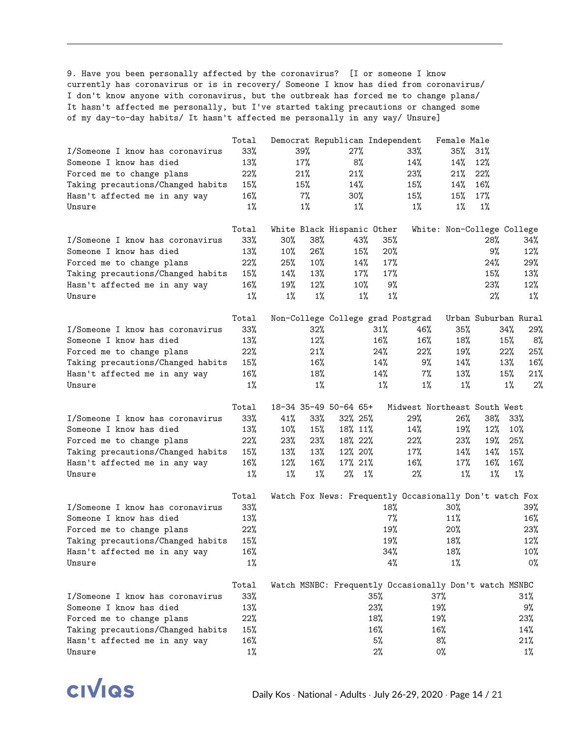9. Have you been personally affected by the coronavirus? [I or someone I know currently has coronavirus or is in recovery/ Someone I know has died from coronavirus/ I don't know anyone with coronavirus, but the outbreak has forced me to change plans/ It hasn't affected me personally, but I've started taking precautions or changed some of my day-to-day habits/ It hasn't affected me personally in any way/ Unsure]

|                                         | Total        | Democrat Republican Independent                         |        |          |            |                              | Female Male                |                      |       |              |
|-----------------------------------------|--------------|---------------------------------------------------------|--------|----------|------------|------------------------------|----------------------------|----------------------|-------|--------------|
| I/Someone I know has coronavirus        | 33%          | 39%                                                     |        | 27%      |            | 33%                          | 35%                        | 31%                  |       |              |
| Someone I know has died                 | 13%          | 17%                                                     |        | 8%       |            | 14%                          | 14%                        | 12%                  |       |              |
| Forced me to change plans               | 22%          | 21%                                                     |        | 21%      |            | 23%                          | 21%                        | 22%                  |       |              |
| Taking precautions/Changed habits       | 15%          | 15%                                                     |        | 14%      |            | 15%                          | 14%                        | 16%                  |       |              |
| Hasn't affected me in any way           | 16%          | 7%                                                      |        | 30%      |            | 15%                          | 15%                        | 17%                  |       |              |
| Unsure                                  | $1\%$        | $1\%$                                                   |        | $1\%$    |            | $1\%$                        | $1\%$                      | $1\%$                |       |              |
|                                         | Total        | White Black Hispanic Other                              |        |          |            |                              | White: Non-College College |                      |       |              |
| I/Someone I know has coronavirus        | 33%          | $30\%$                                                  | 38%    | 43%      | 35%        |                              |                            | 28%                  |       | 34%          |
| Someone I know has died                 | 13%          | $10\%$                                                  | 26%    | 15%      | 20%        |                              |                            | 9%                   |       | 12%          |
| Forced me to change plans               | 22%          | 25%                                                     | 10%    | 14%      | 17%        |                              |                            | 24%                  |       | 29%          |
| Taking precautions/Changed habits       | 15%          | 14%                                                     | 13%    | 17%      | 17%        |                              |                            | 15%                  |       | 13%          |
| Hasn't affected me in any way           | 16%          | 19%                                                     | 12%    | 10%      | 9%         |                              |                            | 23%                  |       | $12\%$       |
| Unsure                                  | $1\%$        | $1\%$                                                   | $1\%$  | $1\%$    | $1\%$      |                              |                            | 2%                   |       | $1\%$        |
|                                         | Total        | Non-College College grad Postgrad                       |        |          |            |                              |                            | Urban Suburban Rural |       |              |
| I/Someone I know has coronavirus        | 33%          |                                                         | 32%    |          | 31%        | 46%                          | 35%                        |                      | 34%   | 29%          |
| Someone I know has died                 | 13%          |                                                         | 12%    |          | 16%        | 16%                          | 18%                        |                      | 15%   | 8%           |
| Forced me to change plans               | 22%          |                                                         | 21%    |          | 24%        | 22%                          | 19%                        |                      | 22%   | 25%          |
| Taking precautions/Changed habits       | 15%          |                                                         | 16%    |          | 14%        | 9%                           | 14%                        |                      | 13%   | 16%          |
| Hasn't affected me in any way           | 16%          |                                                         | 18%    |          | 14%        | $7\%$                        | 13%                        |                      | 15%   | 21%          |
| Unsure                                  | $1\%$        |                                                         | $1\%$  |          | $1\%$      | $1\%$                        | $1\%$                      |                      | $1\%$ | 2%           |
|                                         | Total        | 18-34 35-49 50-64 65+                                   |        |          |            | Midwest Northeast South West |                            |                      |       |              |
| I/Someone I know has coronavirus        | $33\%$       | 41%                                                     | $33\%$ | 32% 25%  |            | 29%                          | 26%                        | 38%                  | 33%   |              |
| Someone I know has died                 | 13%          | $10\%$                                                  | 15%    | 18% 11%  |            | 14%                          | 19%                        | 12%                  | 10%   |              |
| Forced me to change plans               | 22%          | 23%                                                     | 23%    | 18% 22%  |            | 22%                          | 23%                        | 19%                  | 25%   |              |
| Taking precautions/Changed habits       | 15%          | 13%                                                     | 13%    | 12% 20%  |            | 17%                          | 14%                        | 14%                  | 15%   |              |
| Hasn't affected me in any way           | 16%          | 12%                                                     | 16%    | 17% 21%  |            | 16%                          | 17%                        | 16%                  | 16%   |              |
| Unsure                                  | $1\%$        | $1\%$                                                   | $1\%$  | $2\%$ 1% |            | 2%                           | $1\%$                      | $1\%$                | 1%    |              |
|                                         | Total        | Watch Fox News: Frequently Occasionally Don't watch Fox |        |          |            |                              |                            |                      |       |              |
| I/Someone I know has coronavirus        | 33%          |                                                         |        |          | 18%        |                              | $30\%$                     |                      |       | 39%          |
| Someone I know has died                 | 13%          |                                                         |        |          | 7%         |                              | 11%                        |                      |       | 16%          |
|                                         | 22%          |                                                         |        |          | 19%        |                              |                            |                      |       |              |
| Forced me to change plans               |              |                                                         |        |          |            |                              | 20%                        |                      |       | 23%          |
| Taking precautions/Changed habits       | 15%          |                                                         |        |          | 19%<br>34% |                              | 18%                        |                      |       | 12%          |
| Hasn't affected me in any way<br>Unsure | 16%<br>$1\%$ |                                                         |        |          | 4%         |                              | 18%<br>1%                  |                      |       | $10\%$<br>0% |
|                                         |              |                                                         |        |          |            |                              |                            |                      |       |              |
| I/Someone I know has coronavirus        | Total<br>33% | Watch MSNBC: Frequently Occasionally Don't watch MSNBC  |        |          | 35%        |                              | 37%                        |                      |       |              |
| Someone I know has died                 |              |                                                         |        |          |            |                              |                            |                      |       | 31%          |
|                                         | 13%          |                                                         |        |          | 23%        |                              | 19%                        |                      |       | 9%           |
| Forced me to change plans               | 22%          |                                                         |        |          | 18%        |                              | 19%                        |                      |       | 23%          |
| Taking precautions/Changed habits       | 15%          |                                                         |        |          | 16%        |                              | 16%                        |                      |       | 14%          |
| Hasn't affected me in any way           | 16%          |                                                         |        |          | 5%         |                              | 8%                         |                      |       | 21%          |
| Unsure                                  | $1\%$        |                                                         |        |          | 2%         |                              | 0%                         |                      |       | $1\%$        |

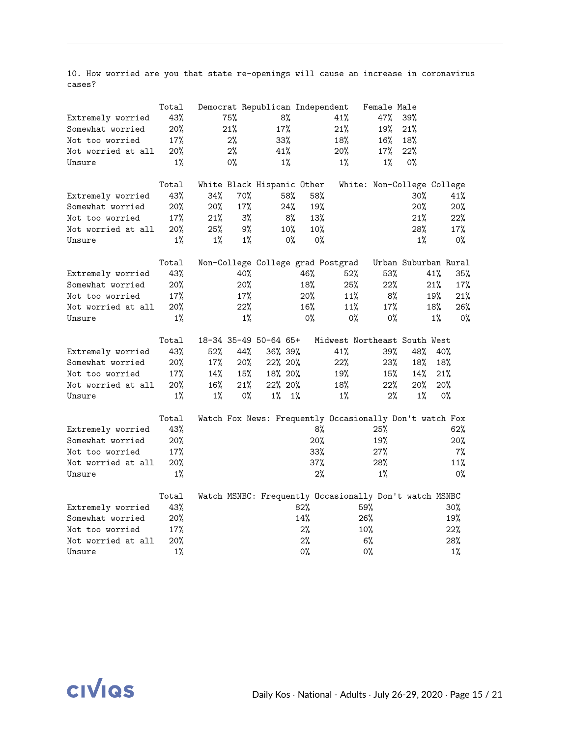10. How worried are you that state re-openings will cause an increase in coronavirus cases?

|                    | Total |       |       | Democrat Republican Independent |     |                                   | Female Male                                             |                      |       |
|--------------------|-------|-------|-------|---------------------------------|-----|-----------------------------------|---------------------------------------------------------|----------------------|-------|
| Extremely worried  | 43%   | 75%   |       | 8%                              |     | 41%                               | 47%                                                     | 39%                  |       |
| Somewhat worried   | 20%   | 21%   |       | 17%                             |     | 21%                               | 19%                                                     | 21%                  |       |
| Not too worried    | 17%   |       | 2%    | 33%                             |     | 18%                               | 16%                                                     | 18%                  |       |
| Not worried at all | 20%   |       | 2%    | 41%                             |     | 20%                               | 17%                                                     | 22%                  |       |
| Unsure             | $1\%$ |       | 0%    | $1\%$                           |     | $1\%$                             | $1\%$                                                   | 0%                   |       |
|                    | Total |       |       | White Black Hispanic Other      |     |                                   | White: Non-College College                              |                      |       |
| Extremely worried  | 43%   | 34%   | 70%   | 58%                             |     | 58%                               |                                                         | $30\%$               | 41%   |
| Somewhat worried   | 20%   | 20%   | 17%   | 24%                             |     | 19%                               |                                                         | 20%                  | 20%   |
| Not too worried    | 17%   | 21%   | 3%    | 8%                              |     | 13%                               |                                                         | 21%                  | 22%   |
| Not worried at all | 20%   | 25%   | 9%    | 10%                             |     | 10%                               |                                                         | 28%                  | 17%   |
| Unsure             | $1\%$ | $1\%$ | $1\%$ | 0%                              |     | $0\%$                             |                                                         | $1\%$                | 0%    |
|                    | Total |       |       |                                 |     | Non-College College grad Postgrad |                                                         | Urban Suburban Rural |       |
| Extremely worried  | 43%   |       | 40%   |                                 | 46% | 52%                               | 53%                                                     | 41%                  | 35%   |
| Somewhat worried   | 20%   |       | 20%   |                                 | 18% | 25%                               | 22%                                                     | 21%                  | 17%   |
| Not too worried    | 17%   |       | 17%   |                                 | 20% | 11%                               | 8%                                                      | 19%                  | 21%   |
| Not worried at all | 20%   |       | 22%   |                                 | 16% | 11%                               | 17%                                                     | 18%                  | 26%   |
| Unsure             | $1\%$ |       | $1\%$ |                                 | 0%  | $0\%$                             | $0\%$                                                   | $1\%$                | $0\%$ |
|                    | Total |       |       | 18-34 35-49 50-64 65+           |     |                                   | Midwest Northeast South West                            |                      |       |
| Extremely worried  | 43%   | 52%   | 44%   | 36% 39%                         |     | 41%                               | 39%                                                     | 48%                  | 40%   |
| Somewhat worried   | 20%   | 17%   | 20%   | 22% 20%                         |     | 22%                               | 23%                                                     | 18%                  | 18%   |
| Not too worried    | 17%   | 14%   | 15%   | 18% 20%                         |     | 19%                               | 15%                                                     | 14%                  | 21%   |
| Not worried at all | 20%   | 16%   | 21%   | 22% 20%                         |     | 18%                               | 22%                                                     | 20%                  | 20%   |
| Unsure             | $1\%$ | $1\%$ | $0\%$ | $1\%$ $1\%$                     |     | $1\%$                             | $2\%$                                                   | $1\%$                | 0%    |
|                    | Total |       |       |                                 |     |                                   | Watch Fox News: Frequently Occasionally Don't watch Fox |                      |       |
| Extremely worried  | 43%   |       |       |                                 |     | 8%                                | 25%                                                     |                      | 62%   |
| Somewhat worried   | 20%   |       |       |                                 |     | 20%                               | 19%                                                     |                      | 20%   |
| Not too worried    | 17%   |       |       |                                 |     | 33%                               | 27%                                                     |                      | 7%    |
| Not worried at all | 20%   |       |       |                                 |     | 37%                               | 28%                                                     |                      | 11%   |
| Unsure             | $1\%$ |       |       |                                 |     | 2%                                | $1\%$                                                   |                      | $0\%$ |
|                    | Total |       |       |                                 |     |                                   | Watch MSNBC: Frequently Occasionally Don't watch MSNBC  |                      |       |
| Extremely worried  | 43%   |       |       |                                 | 82% |                                   | 59%                                                     |                      | 30%   |
| Somewhat worried   | 20%   |       |       |                                 | 14% |                                   | 26%                                                     |                      | 19%   |
| Not too worried    | 17%   |       |       |                                 | 2%  |                                   | 10%                                                     |                      | 22%   |
| Not worried at all | 20%   |       |       |                                 | 2%  |                                   | 6%                                                      |                      | 28%   |
| Unsure             | $1\%$ |       |       |                                 | 0%  |                                   | 0%                                                      |                      | $1\%$ |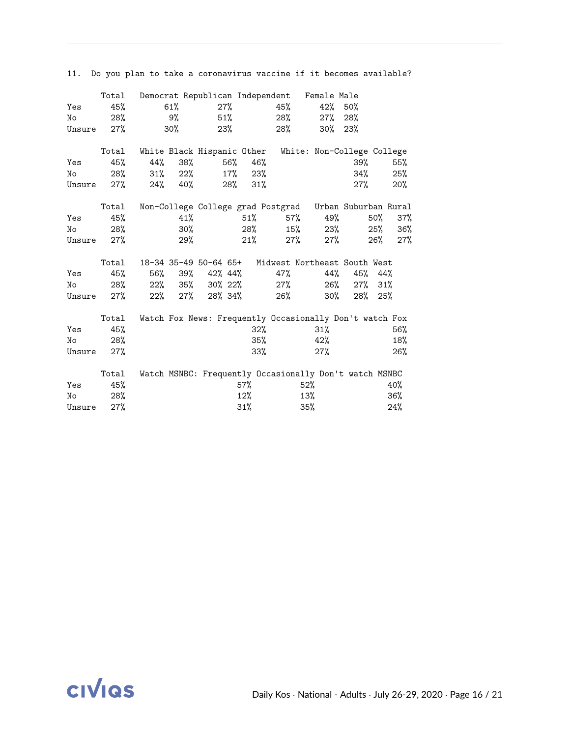| Yes<br>No<br>Unsure | Total<br>45%<br>28%<br>27% |     | 61%<br>9%<br>$30\%$ | 27%<br>23%         | $51\%$ |     | 45%<br>28%<br>28% | Democrat Republican Independent Female Male<br>42%<br>$27\%$ | 50%<br>28%<br>$30\%$ 23% |     |     |
|---------------------|----------------------------|-----|---------------------|--------------------|--------|-----|-------------------|--------------------------------------------------------------|--------------------------|-----|-----|
|                     | Total                      |     |                     |                    |        |     |                   | White Black Hispanic Other White: Non-College College        |                          |     |     |
| Yes                 | 45%                        | 44% | 38%                 |                    | 56% l  | 46% |                   |                                                              | $39\%$                   |     | 55% |
| No                  | 28%                        |     | $31\%$ 22%          |                    | 17%    | 23% |                   |                                                              | 34%                      |     | 25% |
| Unsure              | 27%                        |     | $24\%$ 40%          |                    | 28%    | 31% |                   |                                                              | $27\%$                   |     | 20% |
|                     | Total                      |     |                     |                    |        |     |                   | Non-College College grad Postgrad Urban Suburban Rural       |                          |     |     |
| Yes                 | 45%                        |     | 41%                 |                    |        | 51% | 57%               | 49%                                                          |                          | 50% | 37% |
| No                  | 28%                        |     | 30%                 |                    |        | 28% | 15%               | 23%                                                          |                          | 25% | 36% |
| Unsure              | 27%                        |     | 29%                 |                    |        | 21% | 27%               | $27\%$                                                       |                          | 26% | 27% |
|                     |                            |     |                     |                    |        |     |                   |                                                              |                          |     |     |
|                     | Total                      |     |                     |                    |        |     |                   | 18-34 35-49 50-64 65+ Midwest Northeast South West           |                          |     |     |
| Yes                 | 45%                        | 56% | 39%                 | 42% 44%            |        |     | 47%               | 44%                                                          | 45%                      | 44% |     |
| No                  | 28%                        |     |                     | $22\%$ 35% 30% 22% |        |     | $27\%$            | 26%                                                          | $27\%$                   | 31% |     |
| Unsure              | 27%                        | 22% | $27\%$              | 28% 34%            |        |     | 26%               | 30%                                                          | 28%                      | 25% |     |
|                     | Total                      |     |                     |                    |        |     |                   | Watch Fox News: Frequently Occasionally Don't watch Fox      |                          |     |     |
| Yes                 | 45%                        |     |                     |                    |        | 32% |                   | 31%                                                          |                          |     | 56% |
| No                  | 28%                        |     |                     |                    |        | 35% |                   | 42%                                                          |                          |     | 18% |
|                     |                            |     |                     |                    |        |     |                   |                                                              |                          |     |     |
| Unsure              | 27%                        |     |                     |                    |        | 33% |                   | 27%                                                          |                          |     | 26% |
|                     | Total                      |     |                     |                    |        |     |                   | Watch MSNBC: Frequently Occasionally Don't watch MSNBC       |                          |     |     |
| Yes                 | 45%                        |     |                     |                    | 57%    |     |                   | $52\%$                                                       |                          |     | 40% |
| No                  | 28%                        |     |                     |                    | 12%    |     |                   | 13%                                                          |                          |     | 36% |
| Unsure              | 27%                        |     |                     |                    | 31%    |     |                   | 35%                                                          |                          |     | 24% |

11. Do you plan to take a coronavirus vaccine if it becomes available?

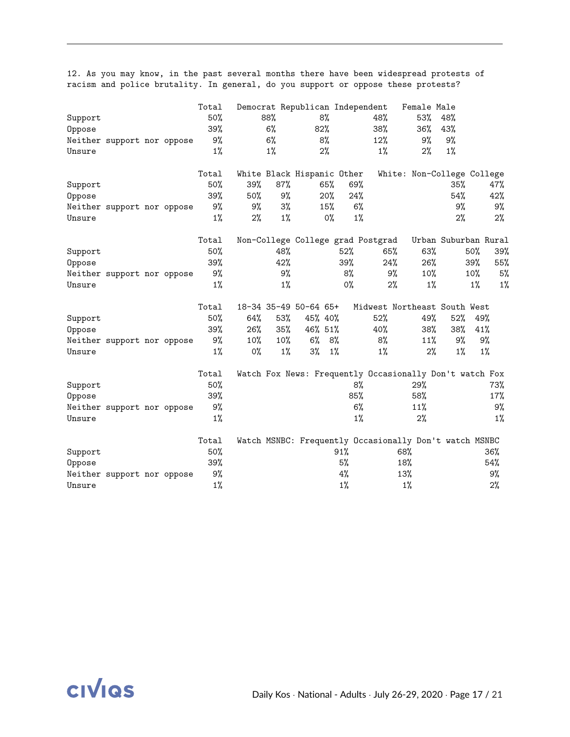|         |                            |  | Total |       |       | Democrat Republican Independent |         |       |                                                         | Female Male |                            |       |       |
|---------|----------------------------|--|-------|-------|-------|---------------------------------|---------|-------|---------------------------------------------------------|-------------|----------------------------|-------|-------|
| Support |                            |  | 50%   |       | 88%   |                                 | 8%      |       | 48%                                                     | 53%         | 48%                        |       |       |
| Oppose  |                            |  | 39%   |       | 6%    |                                 | 82%     |       | 38%                                                     | 36%         | 43%                        |       |       |
|         | Neither support nor oppose |  | 9%    |       | 6%    |                                 | 8%      |       | 12%                                                     | 9%          | 9%                         |       |       |
| Unsure  |                            |  | $1\%$ |       | $1\%$ |                                 | 2%      |       | $1\%$                                                   | $2\%$       | $1\%$                      |       |       |
|         |                            |  | Total |       |       | White Black Hispanic Other      |         |       |                                                         |             | White: Non-College College |       |       |
| Support |                            |  | 50%   | 39%   | 87%   |                                 | 65%     | 69%   |                                                         |             | 35%                        |       | 47%   |
| Oppose  |                            |  | 39%   | 50%   | 9%    |                                 | 20%     | 24%   |                                                         |             | 54%                        |       | 42%   |
|         | Neither support nor oppose |  | 9%    | 9%    | $3\%$ |                                 | 15%     | 6%    |                                                         |             | 9%                         |       | 9%    |
| Unsure  |                            |  | $1\%$ | 2%    | $1\%$ |                                 | $0\%$   | $1\%$ |                                                         |             | $2\%$                      |       | 2%    |
|         |                            |  | Total |       |       |                                 |         |       | Non-College College grad Postgrad                       |             | Urban Suburban Rural       |       |       |
| Support |                            |  | 50%   |       | 48%   |                                 |         | 52%   | 65%                                                     | 63%         |                            | 50%   | 39%   |
| Oppose  |                            |  | 39%   |       | 42%   |                                 |         | 39%   | 24%                                                     | 26%         |                            | 39%   | 55%   |
|         | Neither support nor oppose |  | 9%    |       | 9%    |                                 |         | 8%    | 9%                                                      | 10%         |                            | 10%   | 5%    |
| Unsure  |                            |  | $1\%$ |       | $1\%$ |                                 |         | 0%    | $2\%$                                                   | $1\%$       |                            | $1\%$ | $1\%$ |
|         |                            |  | Total |       |       | 18-34 35-49 50-64 65+           |         |       | Midwest Northeast South West                            |             |                            |       |       |
| Support |                            |  | 50%   | 64%   | 53%   |                                 | 45% 40% |       | 52%                                                     | 49%         | 52%                        | 49%   |       |
| Oppose  |                            |  | 39%   | 26%   | 35%   |                                 | 46% 51% |       | 40%                                                     | 38%         | 38%                        | 41%   |       |
|         | Neither support nor oppose |  | 9%    | 10%   | 10%   | 6%                              | 8%      |       | 8%                                                      | 11%         | 9%                         | 9%    |       |
| Unsure  |                            |  | $1\%$ | $0\%$ | 1%    | $3\%$                           | $1\%$   |       | $1\%$                                                   | 2%          | $1\%$                      | $1\%$ |       |
|         |                            |  | Total |       |       |                                 |         |       | Watch Fox News: Frequently Occasionally Don't watch Fox |             |                            |       |       |
| Support |                            |  | 50%   |       |       |                                 |         | 8%    |                                                         | 29%         |                            |       | 73%   |
| Oppose  |                            |  | 39%   |       |       |                                 |         | 85%   |                                                         | 58%         |                            |       | 17%   |
|         | Neither support nor oppose |  | 9%    |       |       |                                 |         | 6%    |                                                         | 11%         |                            |       | 9%    |
| Unsure  |                            |  | $1\%$ |       |       |                                 |         | $1\%$ |                                                         | 2%          |                            |       | $1\%$ |
|         |                            |  | Total |       |       |                                 |         |       | Watch MSNBC: Frequently Occasionally Don't watch MSNBC  |             |                            |       |       |
| Support |                            |  | 50%   |       |       |                                 |         | 91%   | 68%                                                     |             |                            |       | 36%   |
| Oppose  |                            |  | 39%   |       |       |                                 |         | 5%    | 18%                                                     |             |                            |       | 54%   |
|         | Neither support nor oppose |  | 9%    |       |       |                                 |         | 4%    | 13%                                                     |             |                            |       | 9%    |
| Unsure  |                            |  | $1\%$ |       |       |                                 |         | $1\%$ |                                                         | $1\%$       |                            |       | 2%    |

12. As you may know, in the past several months there have been widespread protests of racism and police brutality. In general, do you support or oppose these protests?

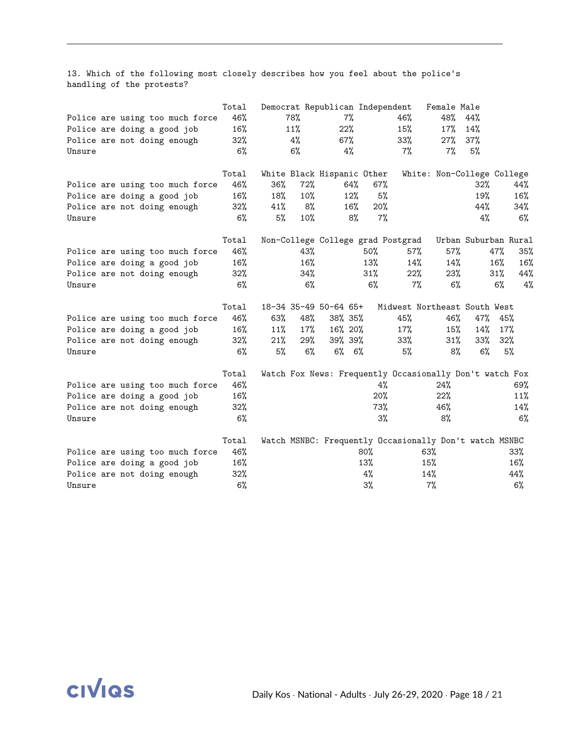13. Which of the following most closely describes how you feel about the police's handling of the protests?

|        |                                 | Total  |     |     | Democrat Republican Independent |             |        |                                                         | Female Male                |                      |     |       |
|--------|---------------------------------|--------|-----|-----|---------------------------------|-------------|--------|---------------------------------------------------------|----------------------------|----------------------|-----|-------|
|        | Police are using too much force | 46%    |     | 78% |                                 | 7%          |        | 46%                                                     | 48%                        | 44%                  |     |       |
|        | Police are doing a good job     | 16%    |     | 11% |                                 | 22%         |        | 15%                                                     | 17%                        | 14%                  |     |       |
|        | Police are not doing enough     | 32%    |     | 4%  | 67%                             |             |        | 33%                                                     | 27%                        | 37%                  |     |       |
| Unsure |                                 | 6%     |     | 6%  |                                 | 4%          |        | $7\%$                                                   | 7%                         | 5%                   |     |       |
|        |                                 | Total  |     |     | White Black Hispanic Other      |             |        |                                                         | White: Non-College College |                      |     |       |
|        | Police are using too much force | 46%    | 36% | 72% |                                 | 64%         | 67%    |                                                         |                            | 32%                  |     | 44%   |
|        | Police are doing a good job     | 16%    | 18% | 10% |                                 | 12%         | 5%     |                                                         |                            | 19%                  |     | 16%   |
|        | Police are not doing enough     | 32%    | 41% | 8%  |                                 | 16%         | 20%    |                                                         |                            | 44%                  |     | 34%   |
| Unsure |                                 | 6%     | 5%  | 10% |                                 | 8%          | $7\%$  |                                                         |                            | 4%                   |     | 6%    |
|        |                                 | Total  |     |     |                                 |             |        | Non-College College grad Postgrad                       |                            | Urban Suburban Rural |     |       |
|        | Police are using too much force | 46%    |     | 43% |                                 |             | 50%    | 57%                                                     | 57%                        |                      | 47% | 35%   |
|        | Police are doing a good job     | 16%    |     | 16% |                                 |             | 13%    | 14%                                                     | 14%                        |                      | 16% | 16%   |
|        | Police are not doing enough     | $32\%$ |     | 34% |                                 |             | $31\%$ | 22%                                                     | 23%                        |                      | 31% | 44%   |
| Unsure |                                 | 6%     |     | 6%  |                                 |             | $6\%$  | $7\%$                                                   | 6%                         |                      | 6%  | 4%    |
|        |                                 | Total  |     |     | 18-34 35-49 50-64 65+           |             |        | Midwest Northeast South West                            |                            |                      |     |       |
|        | Police are using too much force | 46%    | 63% | 48% | 38% 35%                         |             |        | 45%                                                     | 46%                        | 47%                  | 45% |       |
|        | Police are doing a good job     | 16%    | 11% | 17% | 16% 20%                         |             |        | 17%                                                     | 15%                        | 14%                  | 17% |       |
|        | Police are not doing enough     | $32\%$ | 21% | 29% | 39% 39%                         |             |        | $33\%$                                                  | $31\%$                     | 33%                  | 32% |       |
| Unsure |                                 | 6%     | 5%  | 6%  |                                 | $6\%$ $6\%$ |        | 5%                                                      | 8%                         | $6\%$                |     | 5%    |
|        |                                 | Total  |     |     |                                 |             |        | Watch Fox News: Frequently Occasionally Don't watch Fox |                            |                      |     |       |
|        | Police are using too much force | 46%    |     |     |                                 |             | 4%     |                                                         | 24%                        |                      |     | 69%   |
|        | Police are doing a good job     | 16%    |     |     |                                 |             | 20%    |                                                         | 22%                        |                      |     | 11%   |
|        | Police are not doing enough     | 32%    |     |     |                                 |             | 73%    |                                                         | 46%                        |                      |     | 14%   |
| Unsure |                                 | 6%     |     |     |                                 |             | 3%     |                                                         | 8%                         |                      |     | $6\%$ |
|        |                                 | Total  |     |     |                                 |             |        | Watch MSNBC: Frequently Occasionally Don't watch MSNBC  |                            |                      |     |       |
|        | Police are using too much force | 46%    |     |     |                                 | 80%         |        |                                                         | 63%                        |                      |     | 33%   |
|        | Police are doing a good job     | 16%    |     |     |                                 | 13%         |        |                                                         | 15%                        |                      |     | 16%   |
|        | Police are not doing enough     | $32\%$ |     |     |                                 |             | 4%     |                                                         | 14%                        |                      |     | 44%   |
| Unsure |                                 | 6%     |     |     |                                 |             | 3%     |                                                         | $7\%$                      |                      |     | 6%    |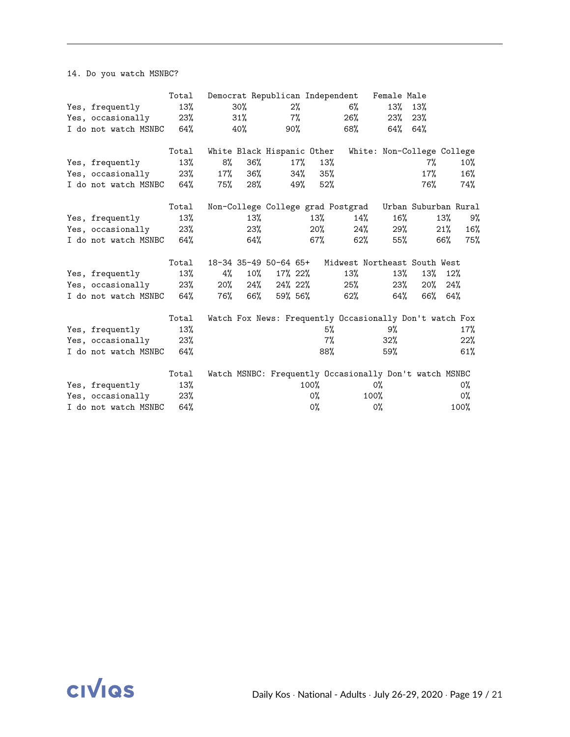14. Do you watch MSNBC?

|                          | Total  |        |        |                            |        |                | Democrat Republican Independent Female Male             |        |                            |     |       |
|--------------------------|--------|--------|--------|----------------------------|--------|----------------|---------------------------------------------------------|--------|----------------------------|-----|-------|
| Yes, frequently          | 13%    |        | 30%    |                            | 2%     |                | $6\%$                                                   | 13%    | 13%                        |     |       |
| Yes, occasionally        | $23\%$ |        | 31%    |                            | 7%     |                | 26%                                                     | 23%    | 23%                        |     |       |
| I do not watch MSNBC 64% |        |        | 40%    | 90%                        |        |                | 68%                                                     | 64%    | 64%                        |     |       |
|                          | Total  |        |        | White Black Hispanic Other |        |                |                                                         |        | White: Non-College College |     |       |
| Yes, frequently          | 13%    | 8%     | 36%    |                            | $17\%$ | 13%            |                                                         |        | 7%                         |     | 10%   |
| Yes, occasionally        | 23%    | 17%    | 36%    |                            | 34%    | 35%            |                                                         |        | 17%                        |     | 16%   |
| I do not watch MSNBC 64% |        | 75%    | 28%    |                            | 49%    | 52%            |                                                         |        | 76%                        |     | 74%   |
|                          | Total  |        |        |                            |        |                | Non-College College grad Postgrad                       |        | Urban Suburban Rural       |     |       |
| Yes, frequently          | 13%    |        | 13%    |                            |        | 13%            | 14%                                                     | $16\%$ |                            | 13% | 9%    |
| Yes, occasionally        | 23%    |        | 23%    |                            |        | 20%            | 24%                                                     | 29%    |                            | 21% | 16%   |
| I do not watch MSNBC 64% |        |        | 64%    |                            |        | 67%            | 62%                                                     | 55%    |                            | 66% | 75%   |
|                          | Total  |        |        | 18-34 35-49 50-64 65+      |        |                | Midwest Northeast South West                            |        |                            |     |       |
| Yes, frequently          | 13%    | 4%     | $10\%$ | 17% 22%                    |        |                | 13%                                                     | 13%    | 13%                        | 12% |       |
| Yes, occasionally        | 23%    | $20\%$ | 24%    | 24% 22%                    |        |                | 25%                                                     | 23%    | 20%                        | 24% |       |
| I do not watch MSNBC     | 64%    | 76%    | 66%    | 59% 56%                    |        |                | 62%                                                     | 64%    | 66%                        | 64% |       |
|                          | Total  |        |        |                            |        |                | Watch Fox News: Frequently Occasionally Don't watch Fox |        |                            |     |       |
| Yes, frequently          | 13%    |        |        |                            |        | 5%             |                                                         | 9%     |                            |     | 17%   |
| Yes, occasionally        | 23%    |        |        |                            |        | 7%             |                                                         | $32\%$ |                            |     | 22%   |
| I do not watch MSNBC     | 64%    |        |        |                            |        | 88%            |                                                         | 59%    |                            |     | 61%   |
|                          | Total  |        |        |                            |        |                | Watch MSNBC: Frequently Occasionally Don't watch MSNBC  |        |                            |     |       |
| Yes, frequently          | 13%    |        |        |                            |        | 100%           |                                                         | 0%     |                            |     | 0%    |
| Yes, occasionally        | 23%    |        |        |                            |        | 0%             |                                                         | 100%   |                            |     | $0\%$ |
| I do not watch MSNBC     | 64%    |        |        |                            |        | O <sub>0</sub> |                                                         | 0%     |                            |     | 100%  |

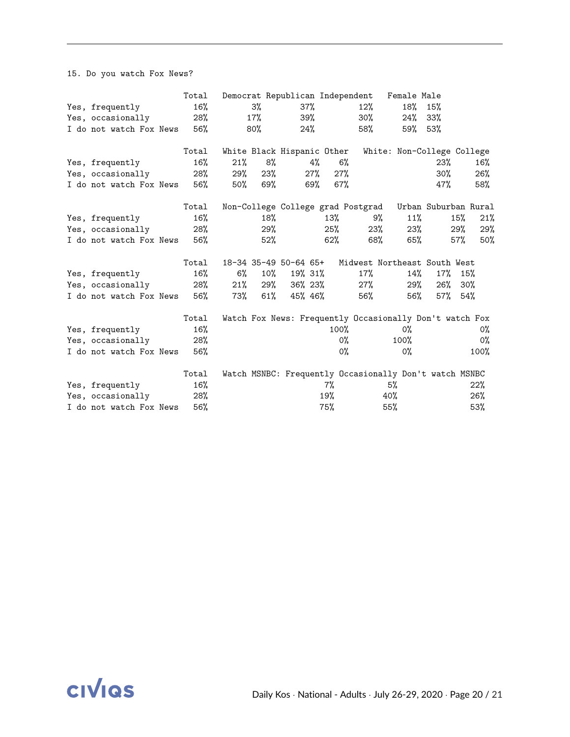15. Do you watch Fox News?

|                         | Total  |     |        | Democrat Republican Independent |     |         |                                                         | Female Male                |                      |        |      |
|-------------------------|--------|-----|--------|---------------------------------|-----|---------|---------------------------------------------------------|----------------------------|----------------------|--------|------|
| Yes, frequently         | $16\%$ |     | 3%     | $37\%$                          |     |         | 12%                                                     | 18%                        | 15%                  |        |      |
| Yes, occasionally       | 28%    |     | 17%    | 39%                             |     |         | 30%                                                     | 24%                        | 33%                  |        |      |
| I do not watch Fox News | 56%    |     | 80%    | 24%                             |     |         | 58%                                                     | 59%                        | 53%                  |        |      |
|                         | Total  |     |        | White Black Hispanic Other      |     |         |                                                         | White: Non-College College |                      |        |      |
| Yes, frequently         | 16%    | 21% | 8%     |                                 | 4%  | $6\%$   |                                                         |                            | 23%                  |        | 16%  |
| Yes, occasionally       | 28%    | 29% | 23%    |                                 | 27% | 27%     |                                                         |                            | $30\%$               |        | 26%  |
| I do not watch Fox News | 56%    | 50% | 69%    |                                 | 69% | 67%     |                                                         |                            | 47%                  |        | 58%  |
|                         | Total  |     |        |                                 |     |         | Non-College College grad Postgrad                       |                            | Urban Suburban Rural |        |      |
| Yes, frequently         | $16\%$ |     | 18%    |                                 |     | 13%     | 9%                                                      | 11%                        |                      | 15%    | 21%  |
| Yes, occasionally       | 28%    |     | 29%    |                                 |     | 25%     | $23\%$                                                  | 23%                        |                      | 29%    | 29%  |
| I do not watch Fox News | 56%    |     | 52%    |                                 |     | 62%     | 68%                                                     | 65%                        |                      | 57%    | 50%  |
|                         | Total  |     |        | 18-34 35-49 50-64 65+           |     |         | Midwest Northeast South West                            |                            |                      |        |      |
| Yes, frequently         | 16%    | 6%  | $10\%$ | 19% 31%                         |     |         | 17%                                                     | 14%                        | $17\%$               | 15%    |      |
| Yes, occasionally       | 28%    | 21% | 29%    | 36% 23%                         |     |         | $27\%$                                                  | 29%                        | 26%                  | $30\%$ |      |
| I do not watch Fox News | 56%    | 73% | 61%    | 45% 46%                         |     |         | 56%                                                     | 56%                        | $57\%$ 54%           |        |      |
|                         | Total  |     |        |                                 |     |         | Watch Fox News: Frequently Occasionally Don't watch Fox |                            |                      |        |      |
| Yes, frequently         | 16%    |     |        |                                 |     | $100\%$ |                                                         | 0%                         |                      |        | 0%   |
| Yes, occasionally       | 28%    |     |        |                                 |     | 0%      |                                                         | 100%                       |                      |        | 0%   |
| I do not watch Fox News | 56%    |     |        |                                 |     | 0%      |                                                         | $0\%$                      |                      |        | 100% |
|                         | Total  |     |        |                                 |     |         | Watch MSNBC: Frequently Occasionally Don't watch MSNBC  |                            |                      |        |      |
| Yes, frequently         | 16%    |     |        |                                 |     | 7%      |                                                         | 5%                         |                      |        | 22%  |
| Yes, occasionally       | 28%    |     |        |                                 |     | 19%     |                                                         | 40%                        |                      |        | 26%  |
| I do not watch Fox News | 56%    |     |        |                                 |     | 75%     |                                                         | 55%                        |                      |        | 53%  |